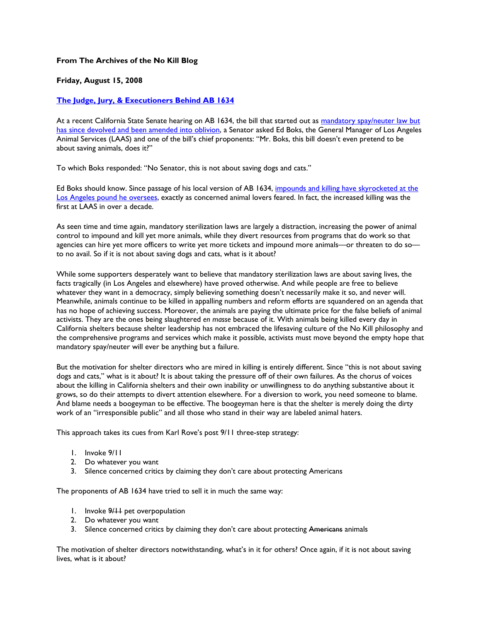## **From The Archives of the No Kill Blog**

## **Friday, August 15, 2008**

## **The Judge, Jury, & Executioners Behind AB 1634**

At a recent California State Senate hearing on AB 1634, the bill that started out as mandatory spay/neuter law but has since devolved and been amended into oblivion, a Senator asked Ed Boks, the General Manager of Los Angeles Animal Services (LAAS) and one of the bill's chief proponents: "Mr. Boks, this bill doesn't even pretend to be about saving animals, does it?"

To which Boks responded: "No Senator, this is not about saving dogs and cats."

Ed Boks should know. Since passage of his local version of AB 1634, impounds and killing have skyrocketed at the Los Angeles pound he oversees, exactly as concerned animal lovers feared. In fact, the increased killing was the first at LAAS in over a decade.

As seen time and time again, mandatory sterilization laws are largely a distraction, increasing the power of animal control to impound and kill yet more animals, while they divert resources from programs that do work so that agencies can hire yet more officers to write yet more tickets and impound more animals—or threaten to do so to no avail. So if it is not about saving dogs and cats, what is it about?

While some supporters desperately want to believe that mandatory sterilization laws are about saving lives, the facts tragically (in Los Angeles and elsewhere) have proved otherwise. And while people are free to believe whatever they want in a democracy, simply believing something doesn't necessarily make it so, and never will. Meanwhile, animals continue to be killed in appalling numbers and reform efforts are squandered on an agenda that has no hope of achieving success. Moreover, the animals are paying the ultimate price for the false beliefs of animal activists. They are the ones being slaughtered *en masse* because of it. With animals being killed every day in California shelters because shelter leadership has not embraced the lifesaving culture of the No Kill philosophy and the comprehensive programs and services which make it possible, activists must move beyond the empty hope that mandatory spay/neuter will ever be anything but a failure.

But the motivation for shelter directors who are mired in killing is entirely different. Since "this is not about saving dogs and cats," what is it about? It is about taking the pressure off of their own failures. As the chorus of voices about the killing in California shelters and their own inability or unwillingness to do anything substantive about it grows, so do their attempts to divert attention elsewhere. For a diversion to work, you need someone to blame. And blame needs a boogeyman to be effective. The boogeyman here is that the shelter is merely doing the dirty work of an "irresponsible public" and all those who stand in their way are labeled animal haters.

This approach takes its cues from Karl Rove's post 9/11 three-step strategy:

- 1. Invoke 9/11
- 2. Do whatever you want
- 3. Silence concerned critics by claiming they don't care about protecting Americans

The proponents of AB 1634 have tried to sell it in much the same way:

- 1. Invoke 9/11 pet overpopulation
- 2. Do whatever you want
- 3. Silence concerned critics by claiming they don't care about protecting Americans animals

The motivation of shelter directors notwithstanding, what's in it for others? Once again, if it is not about saving lives, what is it about?